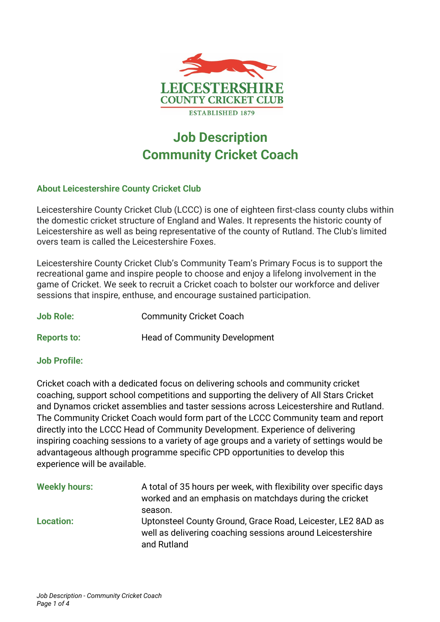

# **Job Description Community Cricket Coach**

# **About Leicestershire County Cricket Club**

Leicestershire County Cricket Club (LCCC) is one of eighteen first-class county clubs within the domestic cricket structure of England and Wales. It represents the historic county of Leicestershire as well as being representative of the county of Rutland. The Club's limited overs team is called the Leicestershire Foxes.

Leicestershire County Cricket Club's Community Team's Primary Focus is to support the recreational game and inspire people to choose and enjoy a lifelong involvement in the game of Cricket. We seek to recruit a Cricket coach to bolster our workforce and deliver sessions that inspire, enthuse, and encourage sustained participation.

| <b>Job Role:</b> | <b>Community Cricket Coach</b> |  |
|------------------|--------------------------------|--|
|                  |                                |  |

**Reports to: Head of Community Development** 

## **Job Profile:**

Cricket coach with a dedicated focus on delivering schools and community cricket coaching, support school competitions and supporting the delivery of All Stars Cricket and Dynamos cricket assemblies and taster sessions across Leicestershire and Rutland. The Community Cricket Coach would form part of the LCCC Community team and report directly into the LCCC Head of Community Development. Experience of delivering inspiring coaching sessions to a variety of age groups and a variety of settings would be advantageous although programme specific CPD opportunities to develop this experience will be available.

| <b>Weekly hours:</b> | A total of 35 hours per week, with flexibility over specific days<br>worked and an emphasis on matchdays during the cricket<br>season.   |
|----------------------|------------------------------------------------------------------------------------------------------------------------------------------|
| <b>Location:</b>     | Uptonsteel County Ground, Grace Road, Leicester, LE2 8AD as<br>well as delivering coaching sessions around Leicestershire<br>and Rutland |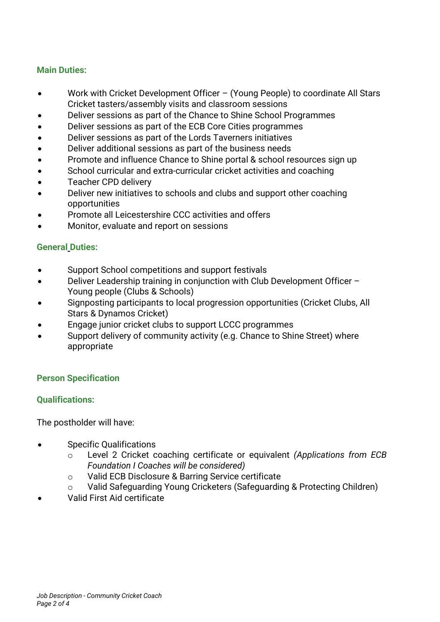## **Main Duties:**

- Work with Cricket Development Officer (Young People) to coordinate All Stars Cricket tasters/assembly visits and classroom sessions
- Deliver sessions as part of the Chance to Shine School Programmes
- Deliver sessions as part of the ECB Core Cities programmes
- Deliver sessions as part of the Lords Taverners initiatives
- Deliver additional sessions as part of the business needs
- Promote and influence Chance to Shine portal & school resources sign up
- School curricular and extra-curricular cricket activities and coaching
- Teacher CPD delivery
- Deliver new initiatives to schools and clubs and support other coaching opportunities
- Promote all Leicestershire CCC activities and offers
- Monitor, evaluate and report on sessions

## **General Duties:**

- Support School competitions and support festivals
- Deliver Leadership training in conjunction with Club Development Officer Young people (Clubs & Schools)
- Signposting participants to local progression opportunities (Cricket Clubs, All Stars & Dynamos Cricket)
- Engage junior cricket clubs to support LCCC programmes
- Support delivery of community activity (e.g. Chance to Shine Street) where appropriate

# **Person Specification**

## **Qualifications:**

The postholder will have:

- Specific Qualifications
	- o Level 2 Cricket coaching certificate or equivalent *(Applications from ECB Foundation I Coaches will be considered)*
	- o Valid ECB Disclosure & Barring Service certificate
	- o Valid Safeguarding Young Cricketers (Safeguarding & Protecting Children)
- Valid First Aid certificate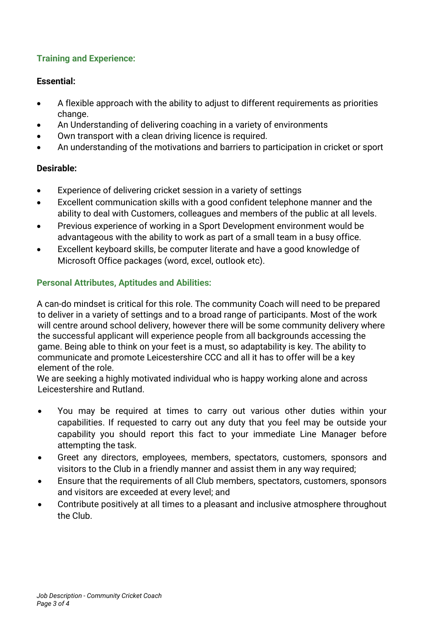# **Training and Experience:**

# **Essential:**

- A flexible approach with the ability to adjust to different requirements as priorities change.
- An Understanding of delivering coaching in a variety of environments
- Own transport with a clean driving licence is required.
- An understanding of the motivations and barriers to participation in cricket or sport

# **Desirable:**

- Experience of delivering cricket session in a variety of settings
- Excellent communication skills with a good confident telephone manner and the ability to deal with Customers, colleagues and members of the public at all levels.
- Previous experience of working in a Sport Development environment would be advantageous with the ability to work as part of a small team in a busy office.
- Excellent keyboard skills, be computer literate and have a good knowledge of Microsoft Office packages (word, excel, outlook etc).

# **Personal Attributes, Aptitudes and Abilities:**

A can-do mindset is critical for this role. The community Coach will need to be prepared to deliver in a variety of settings and to a broad range of participants. Most of the work will centre around school delivery, however there will be some community delivery where the successful applicant will experience people from all backgrounds accessing the game. Being able to think on your feet is a must, so adaptability is key. The ability to communicate and promote Leicestershire CCC and all it has to offer will be a key element of the role.

We are seeking a highly motivated individual who is happy working alone and across Leicestershire and Rutland.

- You may be required at times to carry out various other duties within your capabilities. If requested to carry out any duty that you feel may be outside your capability you should report this fact to your immediate Line Manager before attempting the task.
- Greet any directors, employees, members, spectators, customers, sponsors and visitors to the Club in a friendly manner and assist them in any way required;
- Ensure that the requirements of all Club members, spectators, customers, sponsors and visitors are exceeded at every level; and
- Contribute positively at all times to a pleasant and inclusive atmosphere throughout the Club.